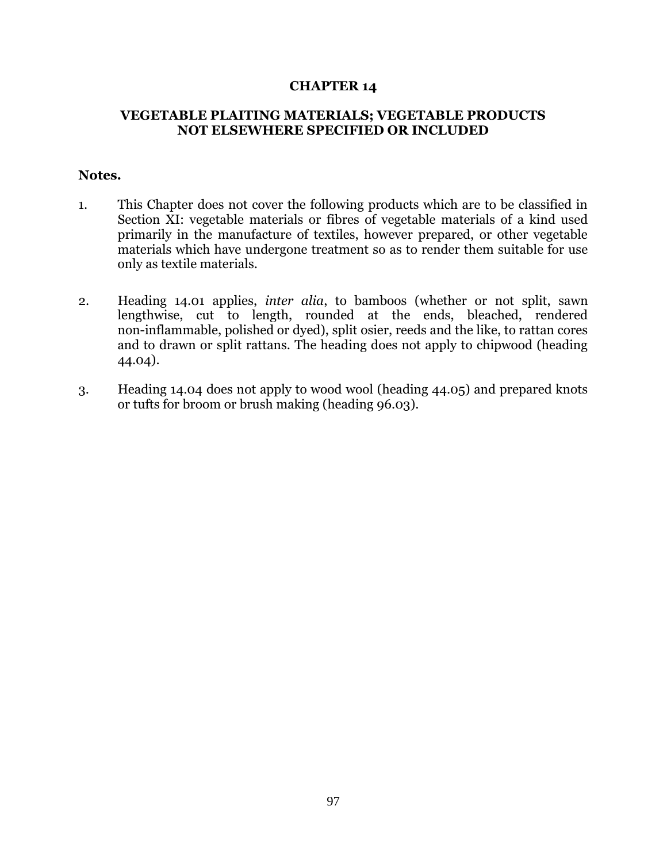## **CHAPTER 14**

## **VEGETABLE PLAITING MATERIALS; VEGETABLE PRODUCTS NOT ELSEWHERE SPECIFIED OR INCLUDED**

## **Notes.**

- 1. This Chapter does not cover the following products which are to be classified in Section XI: vegetable materials or fibres of vegetable materials of a kind used primarily in the manufacture of textiles, however prepared, or other vegetable materials which have undergone treatment so as to render them suitable for use only as textile materials.
- 2. Heading 14.01 applies, *inter alia*, to bamboos (whether or not split, sawn lengthwise, cut to length, rounded at the ends, bleached, rendered non-inflammable, polished or dyed), split osier, reeds and the like, to rattan cores and to drawn or split rattans. The heading does not apply to chipwood (heading 44.04).
- 3. Heading 14.04 does not apply to wood wool (heading 44.05) and prepared knots or tufts for broom or brush making (heading 96.03).